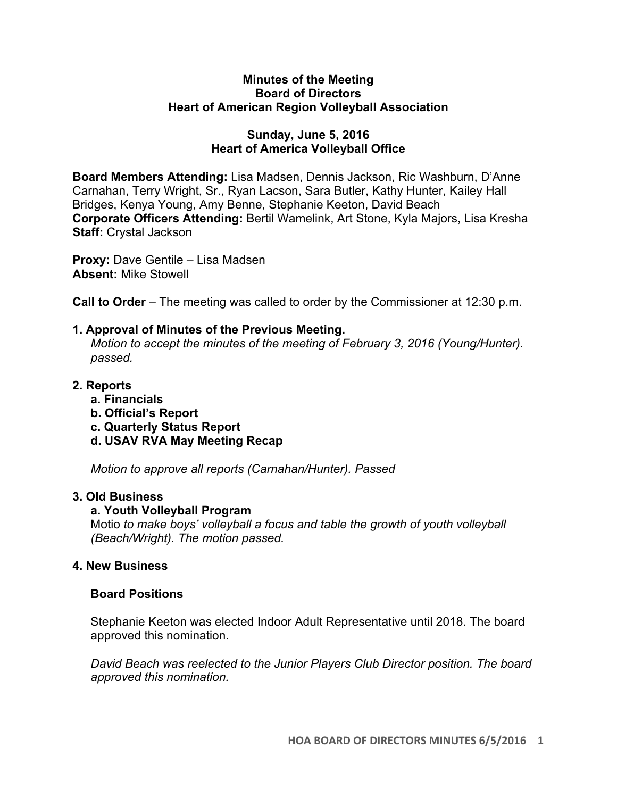#### **Minutes of the Meeting Board of Directors Heart of American Region Volleyball Association**

# **Sunday, June 5, 2016 Heart of America Volleyball Office**

**Board Members Attending:** Lisa Madsen, Dennis Jackson, Ric Washburn, D'Anne Carnahan, Terry Wright, Sr., Ryan Lacson, Sara Butler, Kathy Hunter, Kailey Hall Bridges, Kenya Young, Amy Benne, Stephanie Keeton, David Beach **Corporate Officers Attending:** Bertil Wamelink, Art Stone, Kyla Majors, Lisa Kresha **Staff:** Crystal Jackson

**Proxy:** Dave Gentile – Lisa Madsen **Absent:** Mike Stowell

**Call to Order** – The meeting was called to order by the Commissioner at 12:30 p.m.

# **1. Approval of Minutes of the Previous Meeting.**

*Motion to accept the minutes of the meeting of February 3, 2016 (Young/Hunter). passed.*

# **2. Reports**

- **a. Financials**
- **b. Official's Report**
- **c. Quarterly Status Report**
- **d. USAV RVA May Meeting Recap**

*Motion to approve all reports (Carnahan/Hunter). Passed*

### **3. Old Business**

### **a. Youth Volleyball Program**

Motio *to make boys' volleyball a focus and table the growth of youth volleyball (Beach/Wright). The motion passed.* 

### **4. New Business**

### **Board Positions**

Stephanie Keeton was elected Indoor Adult Representative until 2018. The board approved this nomination.

*David Beach was reelected to the Junior Players Club Director position. The board approved this nomination.*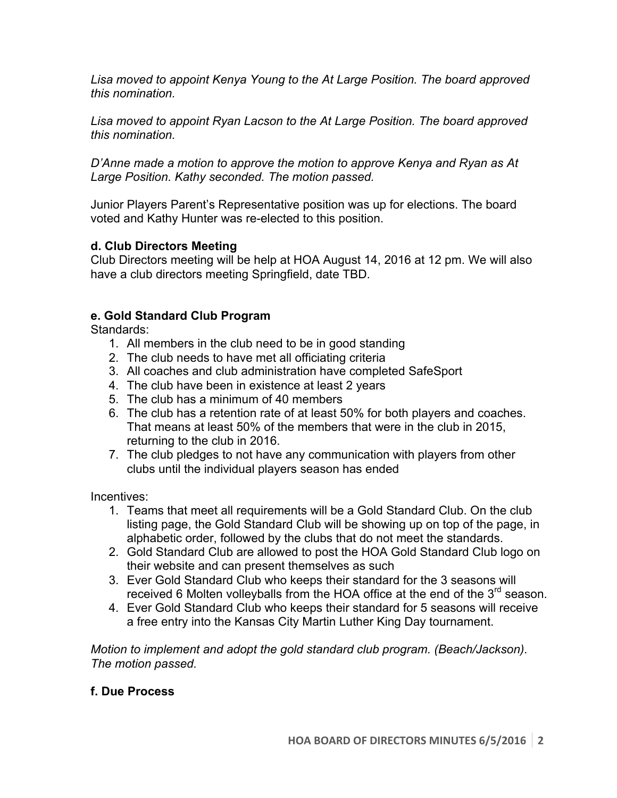*Lisa moved to appoint Kenya Young to the At Large Position. The board approved this nomination.* 

*Lisa moved to appoint Ryan Lacson to the At Large Position. The board approved this nomination.* 

*D'Anne made a motion to approve the motion to approve Kenya and Ryan as At Large Position. Kathy seconded. The motion passed.* 

Junior Players Parent's Representative position was up for elections. The board voted and Kathy Hunter was re-elected to this position.

# **d. Club Directors Meeting**

Club Directors meeting will be help at HOA August 14, 2016 at 12 pm. We will also have a club directors meeting Springfield, date TBD.

### **e. Gold Standard Club Program**

Standards:

- 1. All members in the club need to be in good standing
- 2. The club needs to have met all officiating criteria
- 3. All coaches and club administration have completed SafeSport
- 4. The club have been in existence at least 2 years
- 5. The club has a minimum of 40 members
- 6. The club has a retention rate of at least 50% for both players and coaches. That means at least 50% of the members that were in the club in 2015, returning to the club in 2016.
- 7. The club pledges to not have any communication with players from other clubs until the individual players season has ended

Incentives:

- 1. Teams that meet all requirements will be a Gold Standard Club. On the club listing page, the Gold Standard Club will be showing up on top of the page, in alphabetic order, followed by the clubs that do not meet the standards.
- 2. Gold Standard Club are allowed to post the HOA Gold Standard Club logo on their website and can present themselves as such
- 3. Ever Gold Standard Club who keeps their standard for the 3 seasons will received 6 Molten volleyballs from the HOA office at the end of the  $3<sup>rd</sup>$  season.
- 4. Ever Gold Standard Club who keeps their standard for 5 seasons will receive a free entry into the Kansas City Martin Luther King Day tournament.

*Motion to implement and adopt the gold standard club program. (Beach/Jackson). The motion passed.* 

### **f. Due Process**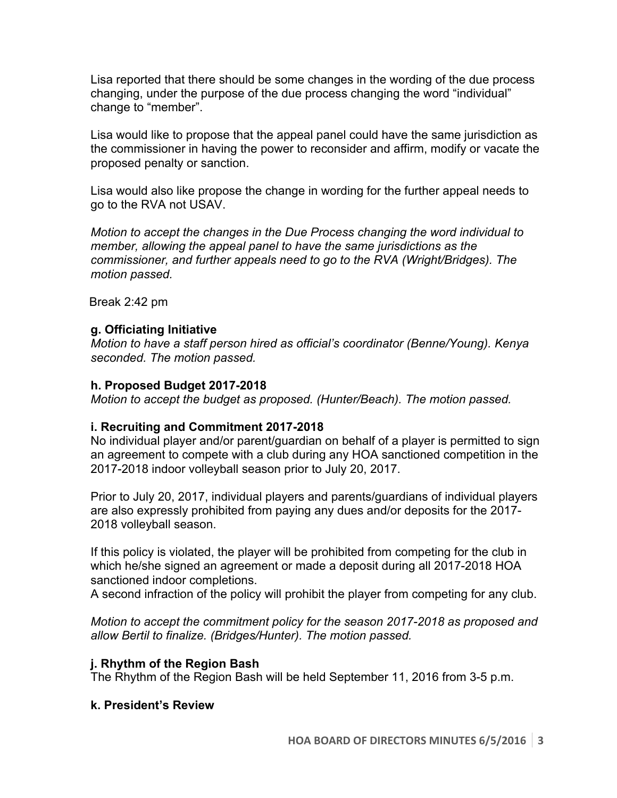Lisa reported that there should be some changes in the wording of the due process changing, under the purpose of the due process changing the word "individual" change to "member".

Lisa would like to propose that the appeal panel could have the same jurisdiction as the commissioner in having the power to reconsider and affirm, modify or vacate the proposed penalty or sanction.

Lisa would also like propose the change in wording for the further appeal needs to go to the RVA not USAV.

*Motion to accept the changes in the Due Process changing the word individual to member, allowing the appeal panel to have the same jurisdictions as the commissioner, and further appeals need to go to the RVA (Wright/Bridges). The motion passed.*

Break 2:42 pm

### **g. Officiating Initiative**

*Motion to have a staff person hired as official's coordinator (Benne/Young). Kenya seconded. The motion passed.* 

#### **h. Proposed Budget 2017-2018**

*Motion to accept the budget as proposed. (Hunter/Beach). The motion passed.* 

### **i. Recruiting and Commitment 2017-2018**

No individual player and/or parent/guardian on behalf of a player is permitted to sign an agreement to compete with a club during any HOA sanctioned competition in the 2017-2018 indoor volleyball season prior to July 20, 2017.

Prior to July 20, 2017, individual players and parents/guardians of individual players are also expressly prohibited from paying any dues and/or deposits for the 2017- 2018 volleyball season.

If this policy is violated, the player will be prohibited from competing for the club in which he/she signed an agreement or made a deposit during all 2017-2018 HOA sanctioned indoor completions.

A second infraction of the policy will prohibit the player from competing for any club.

*Motion to accept the commitment policy for the season 2017-2018 as proposed and allow Bertil to finalize. (Bridges/Hunter). The motion passed.*

### **j. Rhythm of the Region Bash**

The Rhythm of the Region Bash will be held September 11, 2016 from 3-5 p.m.

### **k. President's Review**